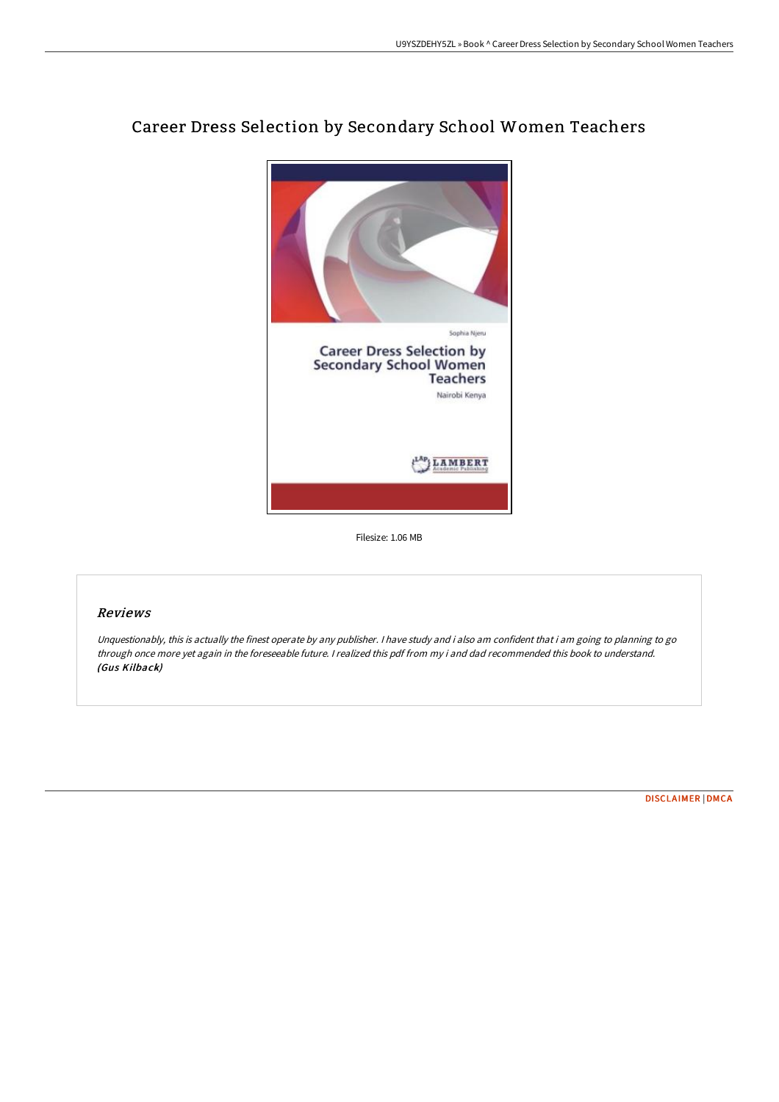

# Career Dress Selection by Secondary School Women Teachers

Filesize: 1.06 MB

# Reviews

Unquestionably, this is actually the finest operate by any publisher. <sup>I</sup> have study and i also am confident that i am going to planning to go through once more yet again in the foreseeable future. <sup>I</sup> realized this pdf from my i and dad recommended this book to understand. (Gus Kilback)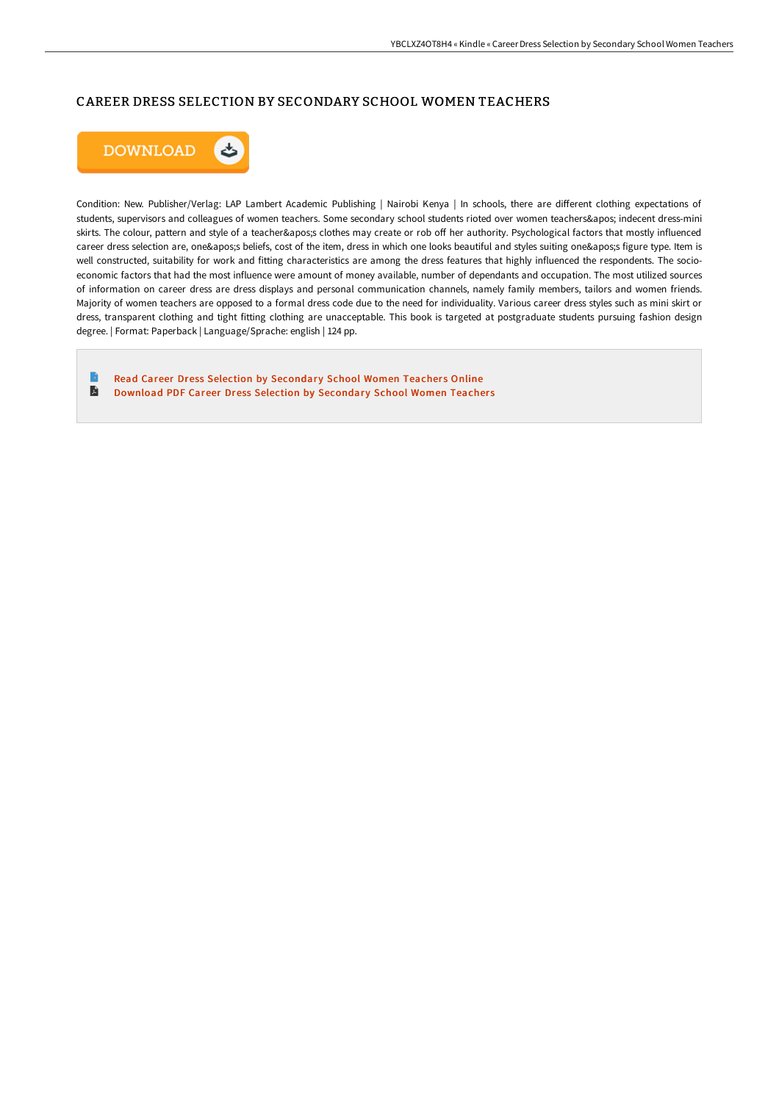# CAREER DRESS SELECTION BY SECONDARY SCHOOL WOMEN TEACHERS



Condition: New. Publisher/Verlag: LAP Lambert Academic Publishing | Nairobi Kenya | In schools, there are different clothing expectations of students, supervisors and colleagues of women teachers. Some secondary school students rioted over women teachers' indecent dress-mini skirts. The colour, pattern and style of a teacher's clothes may create or rob off her authority. Psychological factors that mostly influenced career dress selection are, one's beliefs, cost of the item, dress in which one looks beautiful and styles suiting one's figure type. Item is well constructed, suitability for work and fitting characteristics are among the dress features that highly influenced the respondents. The socioeconomic factors that had the most influence were amount of money available, number of dependants and occupation. The most utilized sources of information on career dress are dress displays and personal communication channels, namely family members, tailors and women friends. Majority of women teachers are opposed to a formal dress code due to the need for individuality. Various career dress styles such as mini skirt or dress, transparent clothing and tight fitting clothing are unacceptable. This book is targeted at postgraduate students pursuing fashion design degree. | Format: Paperback | Language/Sprache: english | 124 pp.

Read Career Dress Selection by [Secondar](http://digilib.live/career-dress-selection-by-secondary-school-women.html)y School Women Teachers Online D [Download](http://digilib.live/career-dress-selection-by-secondary-school-women.html) PDF Career Dress Selection by Secondary School Women Teachers